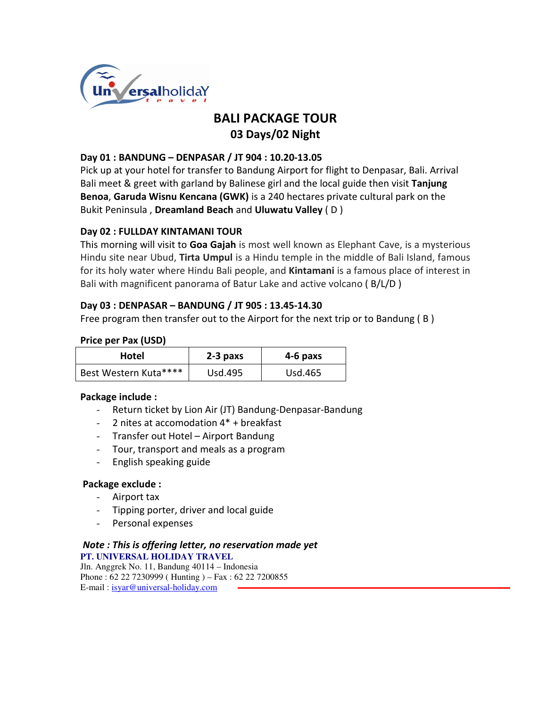

## BALI PACKAGE TOUR 03 Days/02 Night

## Day 01 : BANDUNG – DENPASAR / JT 904 : 10.20-13.05

Pick up at your hotel for transfer to Bandung Airport for flight to Denpasar, Bali. Arrival Bali meet & greet with garland by Balinese girl and the local guide then visit Tanjung Benoa, Garuda Wisnu Kencana (GWK) is a 240 hectares private cultural park on the Bukit Peninsula , Dreamland Beach and Uluwatu Valley ( D )

## Day 02 : FULLDAY KINTAMANI TOUR

This morning will visit to Goa Gajah is most well known as Elephant Cave, is a mysterious Hindu site near Ubud, Tirta Umpul is a Hindu temple in the middle of Bali Island, famous for its holy water where Hindu Bali people, and Kintamani is a famous place of interest in Bali with magnificent panorama of Batur Lake and active volcano ( B/L/D )

## Day 03 : DENPASAR – BANDUNG / JT 905 : 13.45-14.30

Free program then transfer out to the Airport for the next trip or to Bandung ( B )

## Price per Pax (USD)

| Hotel                 | 2-3 paxs | 4-6 paxs |
|-----------------------|----------|----------|
| Best Western Kuta**** | Usd.495  | Usd.465  |

## Package include :

- Return ticket by Lion Air (JT) Bandung-Denpasar-Bandung
- 2 nites at accomodation 4\* + breakfast
- Transfer out Hotel Airport Bandung
- Tour, transport and meals as a program
- English speaking guide

## Package exclude :

- Airport tax
- Tipping porter, driver and local guide
- Personal expenses

### Note : This is offering letter, no reservation made yet **PT. UNIVERSAL HOLIDAY TRAVEL**

Jln. Anggrek No. 11, Bandung 40114 – Indonesia Phone : 62 22 7230999 ( Hunting ) – Fax : 62 22 7200855 E-mail : isyar@universal-holiday.com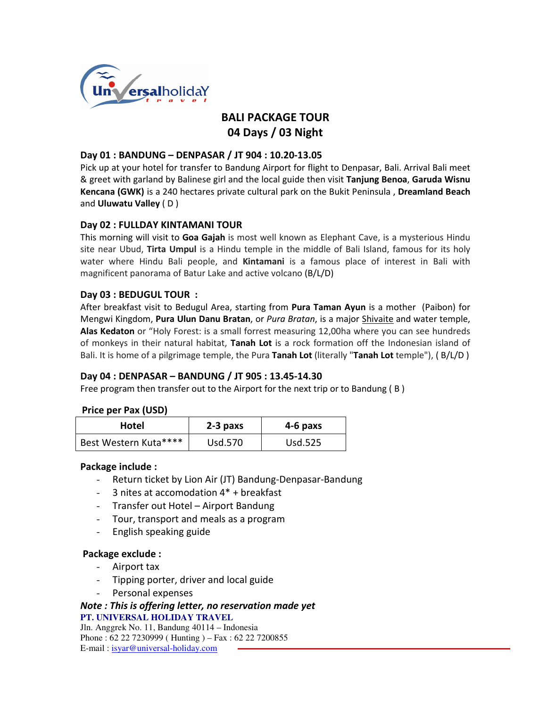

## BALI PACKAGE TOUR 04 Days / 03 Night

#### Day 01 : BANDUNG – DENPASAR / JT 904 : 10.20-13.05

Pick up at your hotel for transfer to Bandung Airport for flight to Denpasar, Bali. Arrival Bali meet & greet with garland by Balinese girl and the local guide then visit Tanjung Benoa, Garuda Wisnu Kencana (GWK) is a 240 hectares private cultural park on the Bukit Peninsula, Dreamland Beach and Uluwatu Valley ( D )

#### Day 02 : FULLDAY KINTAMANI TOUR

This morning will visit to Goa Gajah is most well known as Elephant Cave, is a mysterious Hindu site near Ubud, Tirta Umpul is a Hindu temple in the middle of Bali Island, famous for its holy water where Hindu Bali people, and Kintamani is a famous place of interest in Bali with magnificent panorama of Batur Lake and active volcano (B/L/D)

### Day 03 : BEDUGUL TOUR :

After breakfast visit to Bedugul Area, starting from Pura Taman Ayun is a mother (Paibon) for Mengwi Kingdom, Pura Ulun Danu Bratan, or Pura Bratan, is a major Shivaite and water temple, Alas Kedaton or "Holy Forest: is a small forrest measuring 12,00ha where you can see hundreds of monkeys in their natural habitat, Tanah Lot is a rock formation off the Indonesian island of Bali. It is home of a pilgrimage temple, the Pura Tanah Lot (literally "Tanah Lot temple"), (B/L/D)

#### Day 04 : DENPASAR – BANDUNG / JT 905 : 13.45-14.30

Free program then transfer out to the Airport for the next trip or to Bandung ( $B$ )

#### Price per Pax (USD)

| Hotel                 | 2-3 paxs | 4-6 paxs |
|-----------------------|----------|----------|
| Best Western Kuta**** | Usd.570  | Usd.525  |

#### Package include :

- Return ticket by Lion Air (JT) Bandung-Denpasar-Bandung
- 3 nites at accomodation 4\* + breakfast
- Transfer out Hotel Airport Bandung
- Tour, transport and meals as a program
- English speaking guide

#### Package exclude :

- Airport tax
- Tipping porter, driver and local guide
- Personal expenses

## Note : This is offering letter, no reservation made yet **PT. UNIVERSAL HOLIDAY TRAVEL**

Jln. Anggrek No. 11, Bandung 40114 – Indonesia Phone : 62 22 7230999 ( Hunting ) – Fax : 62 22 7200855 E-mail: isyar@universal-holiday.com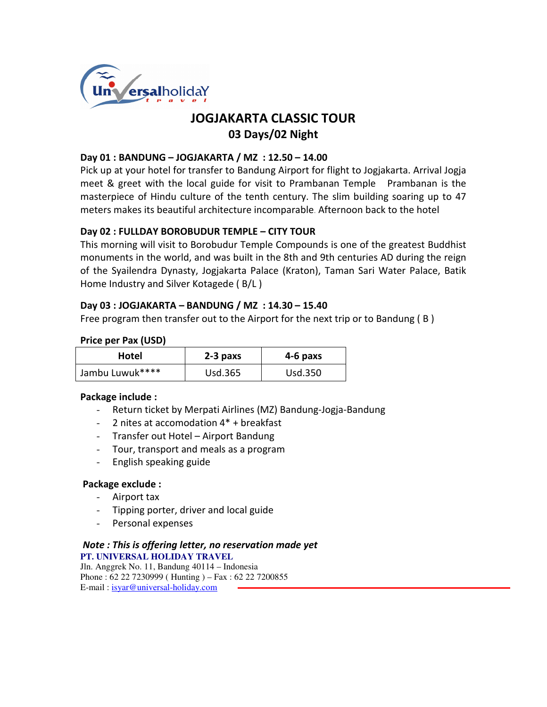

## JOGJAKARTA CLASSIC TOUR 03 Days/02 Night

## Day 01 : BANDUNG – JOGJAKARTA / MZ : 12.50 – 14.00

Pick up at your hotel for transfer to Bandung Airport for flight to Jogjakarta. Arrival Jogja meet & greet with the local guide for visit to Prambanan Temple Prambanan is the masterpiece of Hindu culture of the tenth century. The slim building soaring up to 47 meters makes its beautiful architecture incomparable. Afternoon back to the hotel

### Day 02 : FULLDAY BOROBUDUR TEMPLE – CITY TOUR

This morning will visit to Borobudur Temple Compounds is one of the greatest Buddhist monuments in the world, and was built in the 8th and 9th centuries AD during the reign of the Syailendra Dynasty, Jogjakarta Palace (Kraton), Taman Sari Water Palace, Batik Home Industry and Silver Kotagede ( B/L )

### Day 03 : JOGJAKARTA – BANDUNG / MZ : 14.30 – 15.40

Free program then transfer out to the Airport for the next trip or to Bandung ( B )

#### Price per Pax (USD)

| <b>Hotel</b>    | 2-3 paxs | 4-6 paxs |
|-----------------|----------|----------|
| Jambu Luwuk**** | Usd.365  | Usd.350  |

#### Package include :

- Return ticket by Merpati Airlines (MZ) Bandung-Jogja-Bandung
- 2 nites at accomodation  $4*$  + breakfast
- Transfer out Hotel Airport Bandung
- Tour, transport and meals as a program
- English speaking guide

#### Package exclude :

- Airport tax
- Tipping porter, driver and local guide
- Personal expenses

#### Note : This is offering letter, no reservation made yet **PT. UNIVERSAL HOLIDAY TRAVEL**

Jln. Anggrek No. 11, Bandung 40114 – Indonesia Phone : 62 22 7230999 ( Hunting ) – Fax : 62 22 7200855 E-mail : isyar@universal-holiday.com